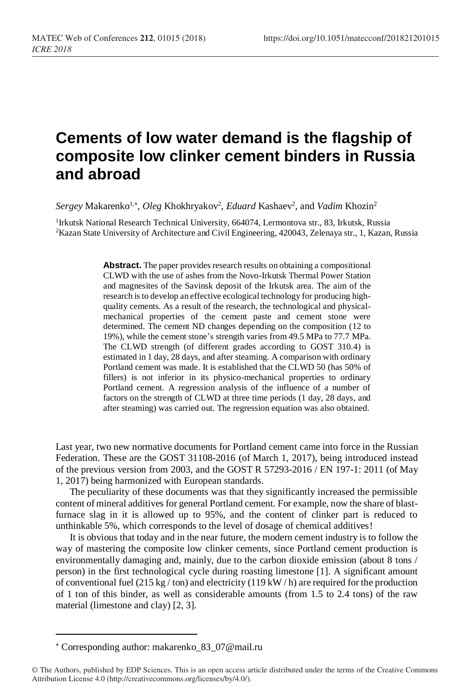## **Cements of low water demand is the flagship of composite low clinker cement binders in Russia and abroad**

 $Sergey$  Makarenko<sup>1,\*</sup>, *Oleg* Khokhryakov<sup>2</sup>, *Eduard* Kashaev<sup>2</sup>, and *Vadim* Khozin<sup>2</sup>

<sup>1</sup>Irkutsk National Research Technical University, 664074, Lermontova str., 83, Irkutsk, Russia <sup>2</sup>Kazan State University of Architecture and Civil Engineering, 420043, Zelenaya str., 1, Kazan, Russia

> **Abstract.** The paper provides research results on obtaining a compositional CLWD with the use of ashes from the Novo-Irkutsk Thermal Power Station and magnesites of the Savinsk deposit of the Irkutsk area. The aim of the research is to develop an effective ecological technology for producing highquality cements. As a result of the research, the technological and physicalmechanical properties of the cement paste and cement stone were determined. The cement ND changes depending on the composition (12 to 19%), while the cement stone's strength varies from 49.5 MPa to 77.7 MPa. The CLWD strength (of different grades according to GOST 310.4) is estimated in 1 day, 28 days, and after steaming. A comparison with ordinary Portland cement was made. It is established that the CLWD 50 (has 50% of fillers) is not inferior in its physico-mechanical properties to ordinary Portland cement. A regression analysis of the influence of a number of factors on the strength of CLWD at three time periods (1 day, 28 days, and after steaming) was carried out. The regression equation was also obtained.

Last year, two new normative documents for Portland cement came into force in the Russian Federation. These are the GOST 31108-2016 (of March 1, 2017), being introduced instead of the previous version from 2003, and the GOST R 57293-2016 / EN 197-1: 2011 (of May 1, 2017) being harmonized with European standards.

The peculiarity of these documents was that they significantly increased the permissible content of mineral additives for general Portland cement. For example, now the share of blastfurnace slag in it is allowed up to 95%, and the content of clinker part is reduced to unthinkable 5%, which corresponds to the level of dosage of chemical additives!

It is obvious that today and in the near future, the modern cement industry is to follow the way of mastering the composite low clinker cements, since Portland cement production is environmentally damaging and, mainly, due to the carbon dioxide emission (about 8 tons / person) in the first technological cycle during roasting limestone [1]. A significant amount of conventional fuel (215 kg / ton) and electricity (119 kW / h) are required for the production of 1 ton of this binder, as well as considerable amounts (from 1.5 to 2.4 tons) of the raw material (limestone and clay) [2, 3].

 $\overline{a}$ 

Corresponding author: makarenko\_83\_07@mail.ru

<sup>©</sup> The Authors, published by EDP Sciences. This is an open access article distributed under the terms of the Creative Commons Attribution License 4.0 (http://creativecommons.org/licenses/by/4.0/).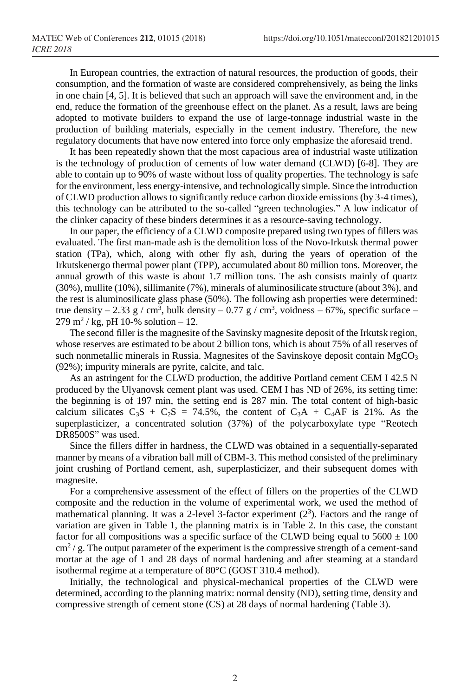In European countries, the extraction of natural resources, the production of goods, their consumption, and the formation of waste are considered comprehensively, as being the links in one chain [4, 5]. It is believed that such an approach will save the environment and, in the end, reduce the formation of the greenhouse effect on the planet. As a result, laws are being adopted to motivate builders to expand the use of large-tonnage industrial waste in the production of building materials, especially in the cement industry. Therefore, the new regulatory documents that have now entered into force only emphasize the aforesaid trend.

It has been repeatedly shown that the most capacious area of industrial waste utilization is the technology of production of cements of low water demand (CLWD) [6-8]. They are able to contain up to 90% of waste without loss of quality properties. The technology is safe for the environment, less energy-intensive, and technologically simple. Since the introduction of CLWD production allows to significantly reduce carbon dioxide emissions (by 3-4 times), this technology can be attributed to the so-called "green technologies." A low indicator of the clinker capacity of these binders determines it as a resource-saving technology.

In our paper, the efficiency of a CLWD composite prepared using two types of fillers was evaluated. The first man-made ash is the demolition loss of the Novo-Irkutsk thermal power station (TPa), which, along with other fly ash, during the years of operation of the Irkutskenergo thermal power plant (TPP), accumulated about 80 million tons. Moreover, the annual growth of this waste is about 1.7 million tons. The ash consists mainly of quartz (30%), mullite (10%), sillimanite (7%), minerals of aluminosilicate structure (about 3%), and the rest is aluminosilicate glass phase (50%). The following ash properties were determined: true density – 2.33 g / cm<sup>3</sup>, bulk density – 0.77 g / cm<sup>3</sup>, voidness – 67%, specific surface –  $279 \text{ m}^2$  / kg, pH 10-% solution – 12.

The second filler is the magnesite of the Savinsky magnesite deposit of the Irkutsk region, whose reserves are estimated to be about 2 billion tons, which is about 75% of all reserves of such nonmetallic minerals in Russia. Magnesites of the Savinskoye deposit contain  $MgCO<sub>3</sub>$ (92%); impurity minerals are pyrite, calcite, and talc.

As an astringent for the CLWD production, the additive Portland cement CEM I 42.5 N produced by the Ulyanovsk cement plant was used. CEM I has ND of 26%, its setting time: the beginning is of 197 min, the setting end is 287 min. The total content of high-basic calcium silicates  $C_3S + C_2S = 74.5\%$ , the content of  $C_3A + C_4AF$  is 21%. As the superplasticizer, a concentrated solution (37%) of the polycarboxylate type "Reotech DR8500S" was used.

Since the fillers differ in hardness, the CLWD was obtained in a sequentially-separated manner by means of a vibration ball mill of CBM-3. This method consisted of the preliminary joint crushing of Portland cement, ash, superplasticizer, and their subsequent domes with magnesite.

For a comprehensive assessment of the effect of fillers on the properties of the CLWD composite and the reduction in the volume of experimental work, we used the method of mathematical planning. It was a 2-level 3-factor experiment  $(2^3)$ . Factors and the range of variation are given in Table 1, the planning matrix is in Table 2. In this case, the constant factor for all compositions was a specific surface of the CLWD being equal to  $5600 \pm 100$  $\text{cm}^2$  / g. The output parameter of the experiment is the compressive strength of a cement-sand mortar at the age of 1 and 28 days of normal hardening and after steaming at a standard isothermal regime at a temperature of 80°C (GOST 310.4 method).

Initially, the technological and physical-mechanical properties of the CLWD were determined, according to the planning matrix: normal density (ND), setting time, density and compressive strength of cement stone (CS) at 28 days of normal hardening (Table 3).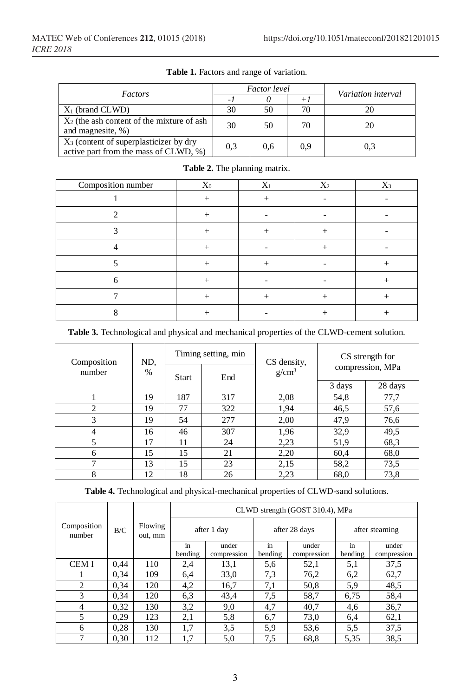| Factors                                                                                     |     | <i>Factor level</i> | Variation interval |     |
|---------------------------------------------------------------------------------------------|-----|---------------------|--------------------|-----|
|                                                                                             | - 1 | U                   | $+1$               |     |
| $X_1$ (brand CLWD)                                                                          | 30  | 50                  | 70                 |     |
| $X_2$ (the ash content of the mixture of ash<br>and magnesite, %)                           | 30  | 50                  | 70                 | 20  |
| X <sub>3</sub> (content of superplasticizer by dry<br>active part from the mass of CLWD, %) | 0.3 | 0.6                 | 0.9                | 0,3 |

Table 1. Factors and range of variation.

| Composition number | $X_0$  | $X_1$  | $X_2$  | $X_3$  |
|--------------------|--------|--------|--------|--------|
|                    | $^{+}$ | ┿      |        |        |
|                    | ┿      |        |        |        |
|                    | $^{+}$ | $^{+}$ | $^{+}$ |        |
|                    |        |        | $^+$   |        |
|                    |        |        |        |        |
|                    |        |        |        |        |
|                    | $^{+}$ | $^+$   | $^{+}$ | $^{+}$ |
|                    |        |        |        |        |

**Table 2.** The planning matrix.

| Composition | ND,<br>$\%$ | Timing setting, min |                   | CS density, | CS strength for<br>compression, MPa |         |
|-------------|-------------|---------------------|-------------------|-------------|-------------------------------------|---------|
| number      |             | End<br><b>Start</b> | g/cm <sup>3</sup> |             |                                     |         |
|             |             |                     |                   |             | 3 days                              | 28 days |
|             | 19          | 187                 | 317               | 2,08        | 54,8                                | 77,7    |
| 2           | 19          | 77                  | 322               | 1,94        | 46,5                                | 57,6    |
| 3           | 19          | 54                  | 277               | 2,00        | 47,9                                | 76,6    |
| 4           | 16          | 46                  | 307               | 1,96        | 32,9                                | 49,5    |
| 5           | 17          | 11                  | 24                | 2,23        | 51,9                                | 68,3    |
| 6           | 15          | 15                  | 21                | 2,20        | 60,4                                | 68,0    |
|             | 13          | 15                  | 23                | 2,15        | 58,2                                | 73,5    |
| 8           | 12          | 18                  | 26                | 2,23        | 68,0                                | 73,8    |

**Table 3.** Technological and physical and mechanical properties of the CLWD-cement solution.

**Table 4.** Technological and physical-mechanical properties of CLWD-sand solutions.

|                       |      |                    | CLWD strength (GOST 310.4), MPa |                      |               |                      |                |                      |  |
|-----------------------|------|--------------------|---------------------------------|----------------------|---------------|----------------------|----------------|----------------------|--|
| Composition<br>number | B/C  | Flowing<br>out, mm | after 1 day                     |                      | after 28 days |                      | after steaming |                      |  |
|                       |      |                    | in<br>bending                   | under<br>compression | in<br>bending | under<br>compression | in<br>bending  | under<br>compression |  |
| <b>CEMI</b>           | 0.44 | 110                | 2,4                             | 13,1                 | 5,6           | 52,1                 | 5,1            | 37,5                 |  |
|                       | 0.34 | 109                | 6,4                             | 33,0                 | 7.3           | 76,2                 | 6,2            | 62,7                 |  |
| $\overline{c}$        | 0.34 | 120                | 4,2                             | 16,7                 | 7,1           | 50,8                 | 5,9            | 48,5                 |  |
| 3                     | 0.34 | 120                | 6.3                             | 43,4                 | 7,5           | 58.7                 | 6,75           | 58,4                 |  |
| 4                     | 0.32 | 130                | 3,2                             | 9,0                  | 4,7           | 40,7                 | 4,6            | 36,7                 |  |
| 5                     | 0.29 | 123                | 2,1                             | 5,8                  | 6,7           | 73,0                 | 6,4            | 62,1                 |  |
| 6                     | 0.28 | 130                | 1,7                             | 3,5                  | 5,9           | 53,6                 | 5,5            | 37,5                 |  |
| 7                     | 0.30 | 112                | 1,7                             | 5,0                  | 7,5           | 68.8                 | 5,35           | 38,5                 |  |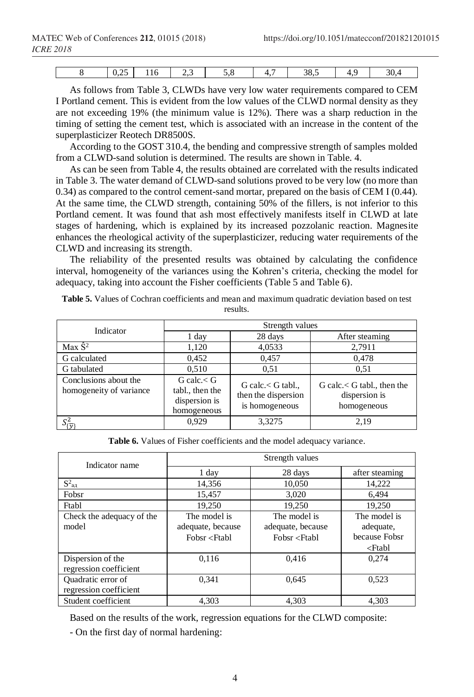| $. \cap F$<br>$v, \omega$ | 110 | <u>.</u> | ◡ ៶ | $\sim$ | $\sim$ $\sim$<br>38.5 | . . | n n<br>20 -<br>- - |
|---------------------------|-----|----------|-----|--------|-----------------------|-----|--------------------|

As follows from Table 3, CLWDs have very low water requirements compared to CEM I Portland cement. This is evident from the low values of the CLWD normal density as they are not exceeding 19% (the minimum value is 12%). There was a sharp reduction in the timing of setting the cement test, which is associated with an increase in the content of the superplasticizer Reotech DR8500S.

According to the GOST 310.4, the bending and compressive strength of samples molded from a CLWD-sand solution is determined. The results are shown in Table. 4.

As can be seen from Table 4, the results obtained are correlated with the results indicated in Table 3. The water demand of CLWD-sand solutions proved to be very low (no more than 0.34) as compared to the control cement-sand mortar, prepared on the basis of CEM I (0.44). At the same time, the CLWD strength, containing 50% of the fillers, is not inferior to this Portland cement. It was found that ash most effectively manifests itself in CLWD at late stages of hardening, which is explained by its increased pozzolanic reaction. Magnesite enhances the rheological activity of the superplasticizer, reducing water requirements of the CLWD and increasing its strength.

The reliability of the presented results was obtained by calculating the confidence interval, homogeneity of the variances using the Kohren's criteria, checking the model for adequacy, taking into account the Fisher coefficients (Table 5 and Table 6).

| Indicator                                        | Strength values                                                      |                                                               |                                                                   |  |  |  |  |
|--------------------------------------------------|----------------------------------------------------------------------|---------------------------------------------------------------|-------------------------------------------------------------------|--|--|--|--|
|                                                  | 1 day                                                                | 28 days                                                       | After steaming                                                    |  |  |  |  |
| $Max \hat{S}^2$                                  | 1,120                                                                | 4,0533                                                        | 2,7911                                                            |  |  |  |  |
| G calculated                                     | 0,452                                                                | 0.457                                                         | 0,478                                                             |  |  |  |  |
| G tabulated                                      | 0,510                                                                | 0.51                                                          | 0.51                                                              |  |  |  |  |
| Conclusions about the<br>homogeneity of variance | $G$ calc. $<$ $G$<br>tabl., then the<br>dispersion is<br>homogeneous | G calc. $<$ G tabl.,<br>then the dispersion<br>is homogeneous | $G$ calc. $\lt G$ tabl., then the<br>dispersion is<br>homogeneous |  |  |  |  |
| $S_{\{\overline{v}\}}^2$                         | 0.929                                                                | 3,3275                                                        | 2.19                                                              |  |  |  |  |

**Table 5.** Values of Cochran coefficients and mean and maximum quadratic deviation based on test results.

**Table 6.** Values of Fisher coefficients and the model adequacy variance.

| Indicator name            | Strength values                                                                           |                                                     |                         |  |  |  |  |
|---------------------------|-------------------------------------------------------------------------------------------|-----------------------------------------------------|-------------------------|--|--|--|--|
|                           | 1 day                                                                                     | 28 days                                             | after steaming          |  |  |  |  |
| $S^2_{a\mu}$              | 14,356                                                                                    | 10,050                                              | 14,222                  |  |  |  |  |
| Fobsr                     | 15,457                                                                                    | 3,020                                               | 6,494                   |  |  |  |  |
| Ftabl                     | 19,250                                                                                    | 19,250                                              | 19,250                  |  |  |  |  |
| Check the adequacy of the | The model is                                                                              | The model is                                        | The model is            |  |  |  |  |
| model                     | adequate, because                                                                         | adequate, because                                   | adequate,               |  |  |  |  |
|                           | Fobsr <ftabl< td=""><td>Fobsr <ftabl< td=""><td>because Fobsr</td></ftabl<></td></ftabl<> | Fobsr <ftabl< td=""><td>because Fobsr</td></ftabl<> | because Fobsr           |  |  |  |  |
|                           |                                                                                           |                                                     | <ftabl< td=""></ftabl<> |  |  |  |  |
| Dispersion of the         | 0.116                                                                                     | 0.416                                               | 0.274                   |  |  |  |  |
| regression coefficient    |                                                                                           |                                                     |                         |  |  |  |  |
| Quadratic error of        | 0.341                                                                                     | 0,645                                               | 0.523                   |  |  |  |  |
| regression coefficient    |                                                                                           |                                                     |                         |  |  |  |  |
| Student coefficient       | 4.303                                                                                     | 4.303                                               | 4.303                   |  |  |  |  |

Based on the results of the work, regression equations for the CLWD composite:

- On the first day of normal hardening: